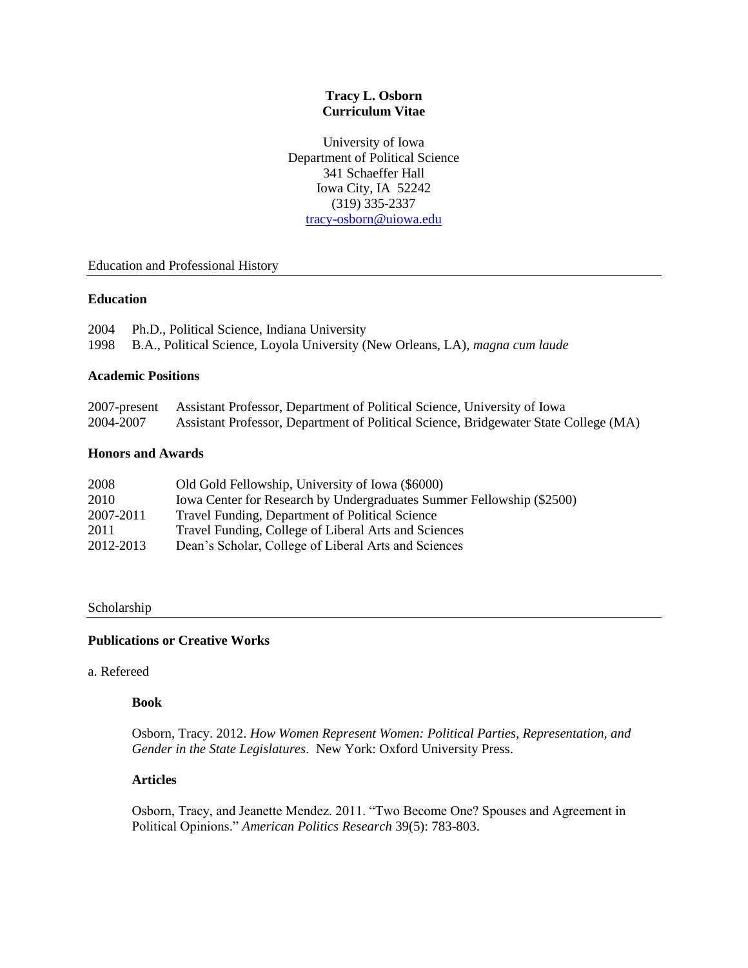## **Tracy L. Osborn Curriculum Vitae**

University of Iowa Department of Political Science 341 Schaeffer Hall Iowa City, IA 52242 (319) 335-2337 [tracy-osborn@uiowa.edu](mailto:tracy-osborn@uiowa.edu)

## Education and Professional History

## **Education**

| 2004 Ph.D., Political Science, Indiana University                                  |
|------------------------------------------------------------------------------------|
| 1998 B.A., Political Science, Loyola University (New Orleans, LA), magna cum laude |

## **Academic Positions**

|           | 2007-present Assistant Professor, Department of Political Science, University of Iowa |
|-----------|---------------------------------------------------------------------------------------|
| 2004-2007 | Assistant Professor, Department of Political Science, Bridgewater State College (MA)  |

## **Honors and Awards**

| 2008      | Old Gold Fellowship, University of Iowa (\$6000)                      |
|-----------|-----------------------------------------------------------------------|
| 2010      | Iowa Center for Research by Undergraduates Summer Fellowship (\$2500) |
| 2007-2011 | Travel Funding, Department of Political Science                       |
| 2011      | Travel Funding, College of Liberal Arts and Sciences                  |
| 2012-2013 | Dean's Scholar, College of Liberal Arts and Sciences                  |

#### Scholarship

## **Publications or Creative Works**

#### a. Refereed

## **Book**

Osborn, Tracy. 2012. *How Women Represent Women: Political Parties, Representation, and Gender in the State Legislatures*. New York: Oxford University Press.

## **Articles**

Osborn, Tracy, and Jeanette Mendez. 2011. "Two Become One? Spouses and Agreement in Political Opinions." *American Politics Research* 39(5): 783-803.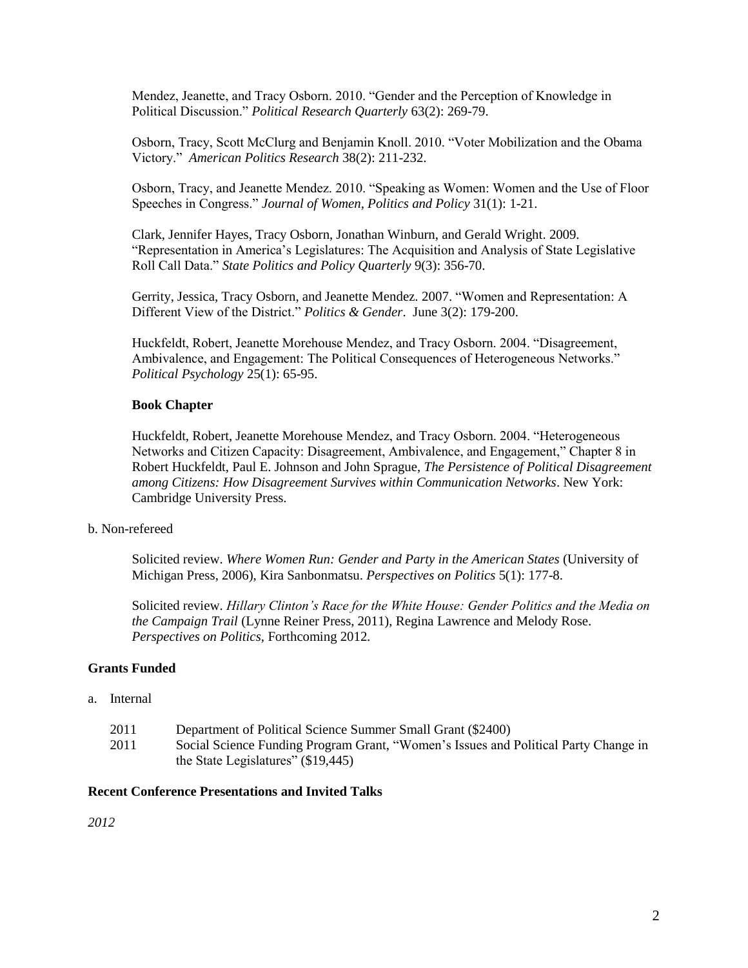Mendez, Jeanette, and Tracy Osborn. 2010. "Gender and the Perception of Knowledge in Political Discussion." *Political Research Quarterly* 63(2): 269-79.

Osborn, Tracy, Scott McClurg and Benjamin Knoll. 2010. "Voter Mobilization and the Obama Victory." *American Politics Research* 38(2): 211-232.

Osborn, Tracy, and Jeanette Mendez. 2010. "Speaking as Women: Women and the Use of Floor Speeches in Congress." *Journal of Women, Politics and Policy* 31(1): 1-21.

Clark, Jennifer Hayes, Tracy Osborn, Jonathan Winburn, and Gerald Wright. 2009. "Representation in America's Legislatures: The Acquisition and Analysis of State Legislative Roll Call Data." *State Politics and Policy Quarterly* 9(3): 356-70.

Gerrity, Jessica, Tracy Osborn, and Jeanette Mendez. 2007. "Women and Representation: A Different View of the District." *Politics & Gender*. June 3(2): 179-200.

Huckfeldt, Robert, Jeanette Morehouse Mendez, and Tracy Osborn. 2004. "Disagreement, Ambivalence, and Engagement: The Political Consequences of Heterogeneous Networks." *Political Psychology* 25(1): 65-95.

#### **Book Chapter**

Huckfeldt, Robert, Jeanette Morehouse Mendez, and Tracy Osborn. 2004. "Heterogeneous Networks and Citizen Capacity: Disagreement, Ambivalence, and Engagement," Chapter 8 in Robert Huckfeldt, Paul E. Johnson and John Sprague, *The Persistence of Political Disagreement among Citizens: How Disagreement Survives within Communication Networks*. New York: Cambridge University Press.

#### b. Non-refereed

Solicited review. *Where Women Run: Gender and Party in the American States* (University of Michigan Press, 2006), Kira Sanbonmatsu. *Perspectives on Politics* 5(1): 177-8.

Solicited review. *Hillary Clinton's Race for the White House: Gender Politics and the Media on the Campaign Trail* (Lynne Reiner Press, 2011), Regina Lawrence and Melody Rose. *Perspectives on Politics,* Forthcoming 2012*.*

## **Grants Funded**

## a. Internal

- 2011 Department of Political Science Summer Small Grant (\$2400)
- 2011 Social Science Funding Program Grant, "Women's Issues and Political Party Change in the State Legislatures" (\$19,445)

#### **Recent Conference Presentations and Invited Talks**

*2012*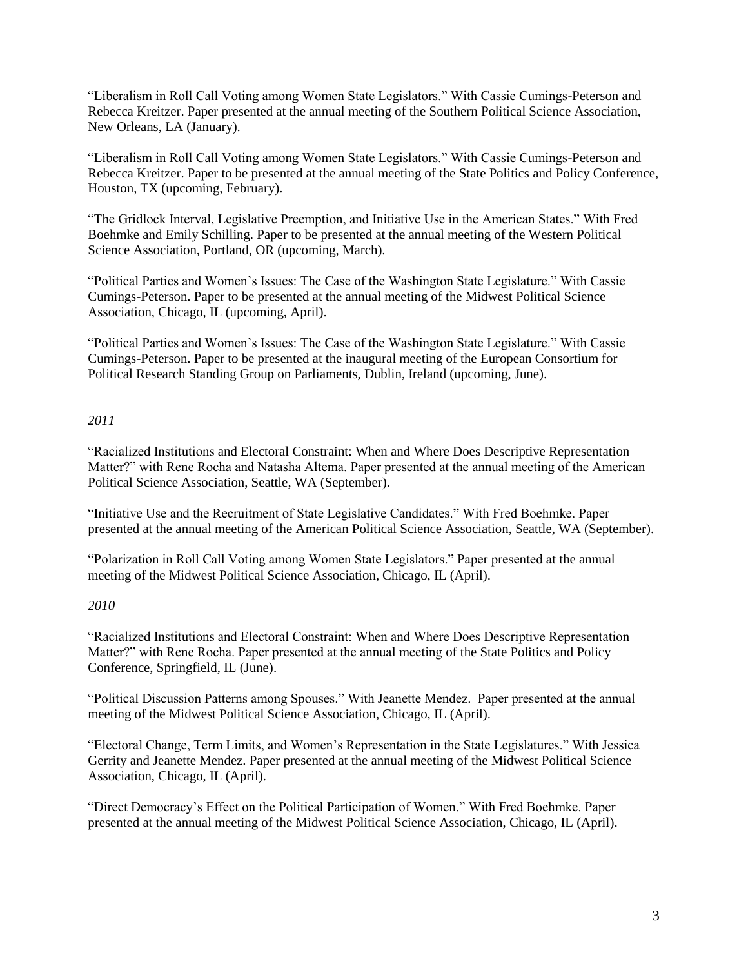"Liberalism in Roll Call Voting among Women State Legislators." With Cassie Cumings-Peterson and Rebecca Kreitzer. Paper presented at the annual meeting of the Southern Political Science Association, New Orleans, LA (January).

"Liberalism in Roll Call Voting among Women State Legislators." With Cassie Cumings-Peterson and Rebecca Kreitzer. Paper to be presented at the annual meeting of the State Politics and Policy Conference, Houston, TX (upcoming, February).

"The Gridlock Interval, Legislative Preemption, and Initiative Use in the American States." With Fred Boehmke and Emily Schilling. Paper to be presented at the annual meeting of the Western Political Science Association, Portland, OR (upcoming, March).

"Political Parties and Women's Issues: The Case of the Washington State Legislature." With Cassie Cumings-Peterson. Paper to be presented at the annual meeting of the Midwest Political Science Association, Chicago, IL (upcoming, April).

"Political Parties and Women's Issues: The Case of the Washington State Legislature." With Cassie Cumings-Peterson. Paper to be presented at the inaugural meeting of the European Consortium for Political Research Standing Group on Parliaments, Dublin, Ireland (upcoming, June).

## *2011*

"Racialized Institutions and Electoral Constraint: When and Where Does Descriptive Representation Matter?" with Rene Rocha and Natasha Altema. Paper presented at the annual meeting of the American Political Science Association, Seattle, WA (September).

"Initiative Use and the Recruitment of State Legislative Candidates." With Fred Boehmke. Paper presented at the annual meeting of the American Political Science Association, Seattle, WA (September).

"Polarization in Roll Call Voting among Women State Legislators." Paper presented at the annual meeting of the Midwest Political Science Association, Chicago, IL (April).

# *2010*

"Racialized Institutions and Electoral Constraint: When and Where Does Descriptive Representation Matter?" with Rene Rocha. Paper presented at the annual meeting of the State Politics and Policy Conference, Springfield, IL (June).

"Political Discussion Patterns among Spouses." With Jeanette Mendez. Paper presented at the annual meeting of the Midwest Political Science Association, Chicago, IL (April).

"Electoral Change, Term Limits, and Women's Representation in the State Legislatures." With Jessica Gerrity and Jeanette Mendez. Paper presented at the annual meeting of the Midwest Political Science Association, Chicago, IL (April).

"Direct Democracy's Effect on the Political Participation of Women." With Fred Boehmke. Paper presented at the annual meeting of the Midwest Political Science Association, Chicago, IL (April).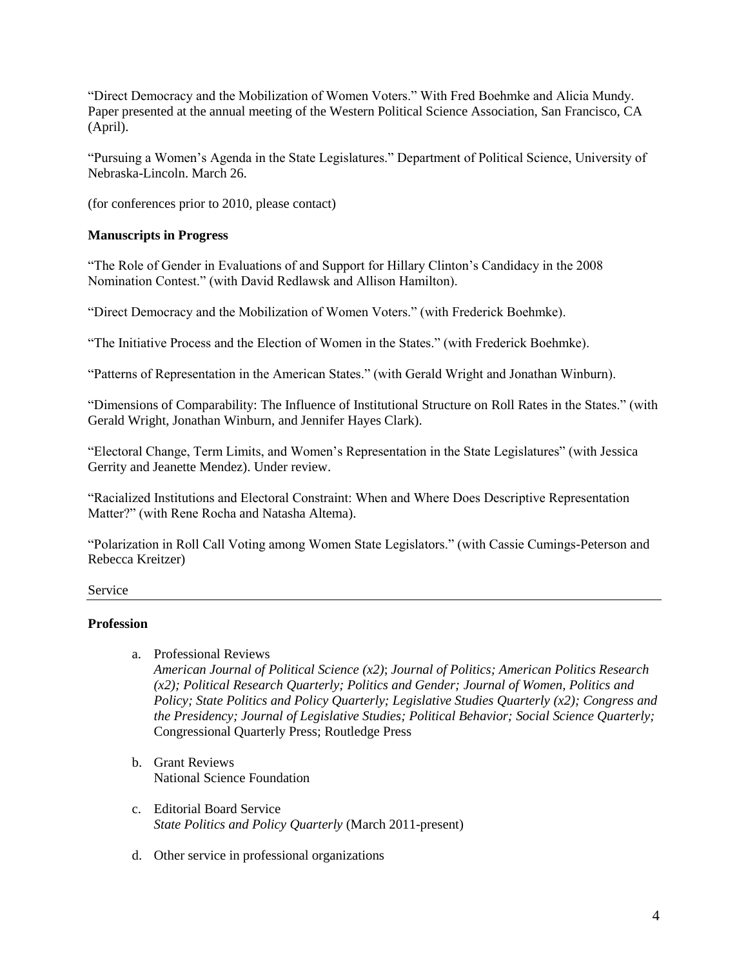"Direct Democracy and the Mobilization of Women Voters." With Fred Boehmke and Alicia Mundy. Paper presented at the annual meeting of the Western Political Science Association, San Francisco, CA (April).

"Pursuing a Women's Agenda in the State Legislatures." Department of Political Science, University of Nebraska-Lincoln. March 26.

(for conferences prior to 2010, please contact)

# **Manuscripts in Progress**

"The Role of Gender in Evaluations of and Support for Hillary Clinton's Candidacy in the 2008 Nomination Contest." (with David Redlawsk and Allison Hamilton).

"Direct Democracy and the Mobilization of Women Voters." (with Frederick Boehmke).

"The Initiative Process and the Election of Women in the States." (with Frederick Boehmke).

"Patterns of Representation in the American States." (with Gerald Wright and Jonathan Winburn).

"Dimensions of Comparability: The Influence of Institutional Structure on Roll Rates in the States." (with Gerald Wright, Jonathan Winburn, and Jennifer Hayes Clark).

"Electoral Change, Term Limits, and Women's Representation in the State Legislatures" (with Jessica Gerrity and Jeanette Mendez). Under review.

"Racialized Institutions and Electoral Constraint: When and Where Does Descriptive Representation Matter?" (with Rene Rocha and Natasha Altema).

"Polarization in Roll Call Voting among Women State Legislators." (with Cassie Cumings-Peterson and Rebecca Kreitzer)

Service

## **Profession**

## a. Professional Reviews

*American Journal of Political Science (x2)*; *Journal of Politics; American Politics Research (x2); Political Research Quarterly; Politics and Gender; Journal of Women, Politics and Policy; State Politics and Policy Quarterly; Legislative Studies Quarterly (x2); Congress and the Presidency; Journal of Legislative Studies; Political Behavior; Social Science Quarterly;*  Congressional Quarterly Press; Routledge Press

- b. Grant Reviews National Science Foundation
- c. Editorial Board Service *State Politics and Policy Quarterly* (March 2011-present)
- d. Other service in professional organizations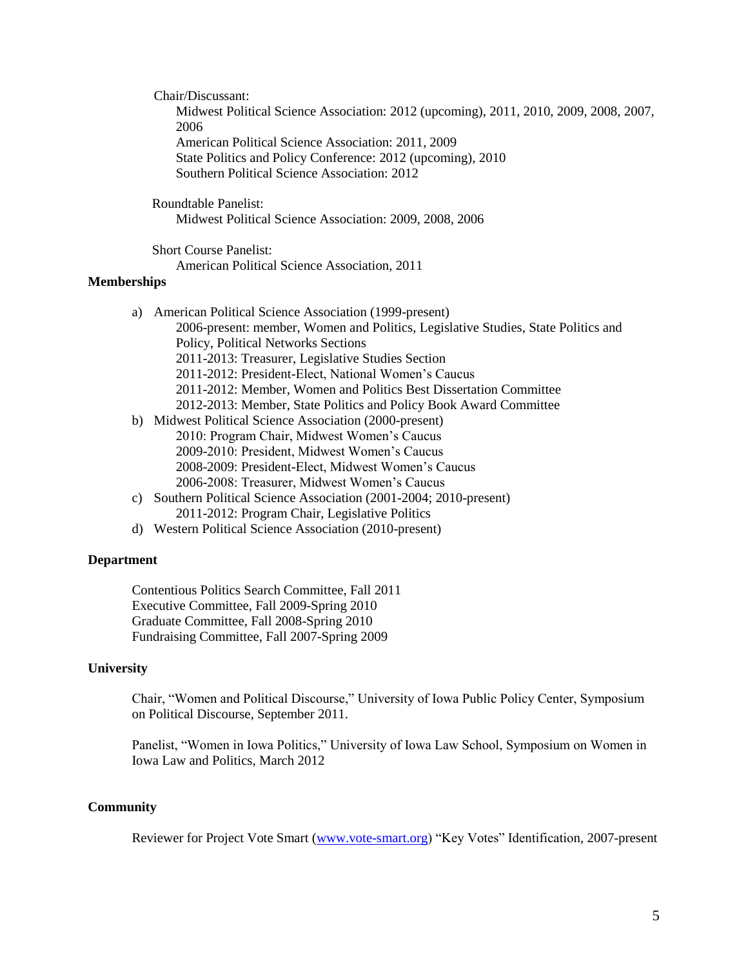Chair/Discussant:

Midwest Political Science Association: 2012 (upcoming), 2011, 2010, 2009, 2008, 2007, 2006 American Political Science Association: 2011, 2009

State Politics and Policy Conference: 2012 (upcoming), 2010 Southern Political Science Association: 2012

 Roundtable Panelist: Midwest Political Science Association: 2009, 2008, 2006

 Short Course Panelist: American Political Science Association, 2011

# **Memberships**

- a) American Political Science Association (1999-present) 2006-present: member, Women and Politics, Legislative Studies, State Politics and Policy, Political Networks Sections 2011-2013: Treasurer, Legislative Studies Section 2011-2012: President-Elect, National Women's Caucus 2011-2012: Member, Women and Politics Best Dissertation Committee 2012-2013: Member, State Politics and Policy Book Award Committee b) Midwest Political Science Association (2000-present)
- 2010: Program Chair, Midwest Women's Caucus 2009-2010: President, Midwest Women's Caucus 2008-2009: President-Elect, Midwest Women's Caucus 2006-2008: Treasurer, Midwest Women's Caucus
- c) Southern Political Science Association (2001-2004; 2010-present) 2011-2012: Program Chair, Legislative Politics
- d) Western Political Science Association (2010-present)

#### **Department**

Contentious Politics Search Committee, Fall 2011 Executive Committee, Fall 2009-Spring 2010 Graduate Committee, Fall 2008-Spring 2010 Fundraising Committee, Fall 2007-Spring 2009

#### **University**

Chair, "Women and Political Discourse," University of Iowa Public Policy Center, Symposium on Political Discourse, September 2011.

Panelist, "Women in Iowa Politics," University of Iowa Law School, Symposium on Women in Iowa Law and Politics, March 2012

#### **Community**

Reviewer for Project Vote Smart [\(www.vote-smart.org\)](http://www.vote-smart.org/) "Key Votes" Identification, 2007-present